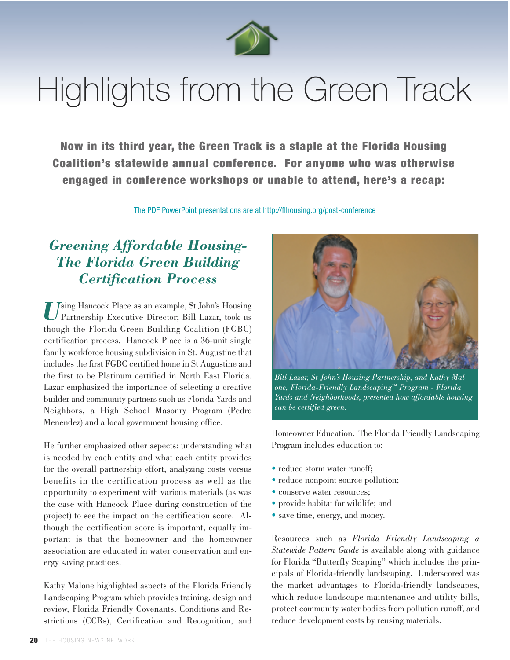

# Highlights from the Green Track

Now in its third year, the Green Track is a staple at the Florida Housing Coalition's statewide annual conference. For anyone who was otherwise engaged in conference workshops or unable to attend, here's a recap:

The PDF PowerPoint presentations are at http://flhousing.org/post-conference

### *Greening Affordable Housing-The Florida Green Building Certification Process*

Using Hancock Place as an example, St John's Housing<br>Partnership Executive Director; Bill Lazar, took us though the Florida Green Building Coalition (FGBC) certification process. Hancock Place is a 36-unit single family workforce housing subdivision in St. Augustine that includes the first FGBC certified home in St Augustine and the first to be Platinum certified in North East Florida. Lazar emphasized the importance of selecting a creative builder and community partners such as Florida Yards and Neighbors, a High School Masonry Program (Pedro Menendez) and a local government housing office.

He further emphasized other aspects: understanding what is needed by each entity and what each entity provides for the overall partnership effort, analyzing costs versus benefits in the certification process as well as the opportunity to experiment with various materials (as was the case with Hancock Place during construction of the project) to see the impact on the certification score. Although the certification score is important, equally important is that the homeowner and the homeowner association are educated in water conservation and energy saving practices.

Kathy Malone highlighted aspects of the Florida Friendly Landscaping Program which provides training, design and review, Florida Friendly Covenants, Conditions and Restrictions (CCRs), Certification and Recognition, and



*Bill Lazar, St John's Housing Partnership, and Kathy Malone, Florida-Friendly Landscaping™ Program - Florida Yards and Neighborhoods, presented how affordable housing can be certified green.*

Homeowner Education. The Florida Friendly Landscaping Program includes education to:

- reduce storm water runoff;
- reduce nonpoint source pollution;
- conserve water resources;
- provide habitat for wildlife; and
- save time, energy, and money.

Resources such as *Florida Friendly Landscaping a Statewide Pattern Guide* is available along with guidance for Florida "Butterfly Scaping" which includes the principals of Florida-friendly landscaping. Underscored was the market advantages to Florida-friendly landscapes, which reduce landscape maintenance and utility bills, protect community water bodies from pollution runoff, and reduce development costs by reusing materials.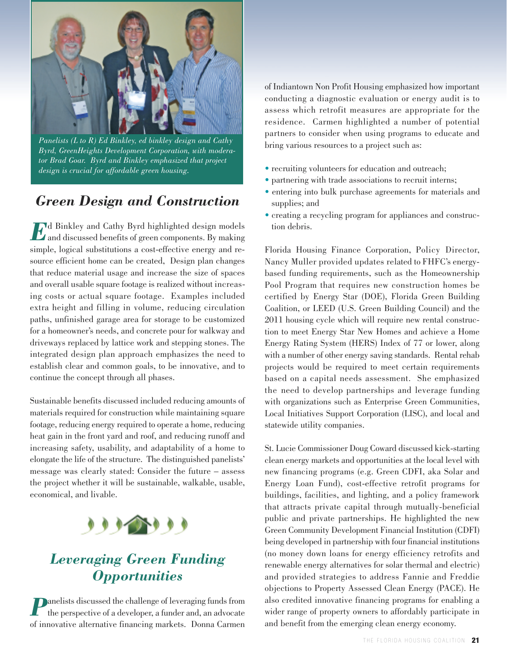

*Panelists (L to R) Ed Binkley, ed binkley design and Cathy Byrd, GreenHeights Development Corporation, with moderator Brad Goar. Byrd and Binkley emphasized that project design is crucial for affordable green housing.*

#### *Green Design and Construction*

**East of Binkley and Cathy Byrd highlighted design models**  $\mathcal{L}$  and discussed benefits of green components. By making simple, logical substitutions a cost-effective energy and resource efficient home can be created, Design plan changes that reduce material usage and increase the size of spaces and overall usable square footage is realized without increasing costs or actual square footage. Examples included extra height and filling in volume, reducing circulation paths, unfinished garage area for storage to be customized for a homeowner's needs, and concrete pour for walkway and driveways replaced by lattice work and stepping stones. The integrated design plan approach emphasizes the need to establish clear and common goals, to be innovative, and to continue the concept through all phases.

Sustainable benefits discussed included reducing amounts of materials required for construction while maintaining square footage, reducing energy required to operate a home, reducing heat gain in the front yard and roof, and reducing runoff and increasing safety, usability, and adaptability of a home to elongate the life of the structure. The distinguished panelists' message was clearly stated: Consider the future – assess the project whether it will be sustainable, walkable, usable, economical, and livable.



## *Leveraging Green Funding Opportunities*

**Panelists discussed the challenge of leveraging funds from** the perspective of a developer, a funder and, an advocate of innovative alternative financing markets. Donna Carmen of Indiantown Non Profit Housing emphasized how important conducting a diagnostic evaluation or energy audit is to assess which retrofit measures are appropriate for the residence. Carmen highlighted a number of potential partners to consider when using programs to educate and bring various resources to a project such as:

- recruiting volunteers for education and outreach;
- partnering with trade associations to recruit interns;
- entering into bulk purchase agreements for materials and supplies; and
- creating a recycling program for appliances and construction debris.

Florida Housing Finance Corporation, Policy Director, Nancy Muller provided updates related to FHFC's energybased funding requirements, such as the Homeownership Pool Program that requires new construction homes be certified by Energy Star (DOE), Florida Green Building Coalition, or LEED (U.S. Green Building Council) and the 2011 housing cycle which will require new rental construction to meet Energy Star New Homes and achieve a Home Energy Rating System (HERS) Index of 77 or lower, along with a number of other energy saving standards. Rental rehab projects would be required to meet certain requirements based on a capital needs assessment. She emphasized the need to develop partnerships and leverage funding with organizations such as Enterprise Green Communities, Local Initiatives Support Corporation (LISC), and local and statewide utility companies.

St. Lucie Commissioner Doug Coward discussed kick-starting clean energy markets and opportunities at the local level with new financing programs (e.g. Green CDFI, aka Solar and Energy Loan Fund), cost-effective retrofit programs for buildings, facilities, and lighting, and a policy framework that attracts private capital through mutually-beneficial public and private partnerships. He highlighted the new Green Community Development Financial Institution (CDFI) being developed in partnership with four financial institutions (no money down loans for energy efficiency retrofits and renewable energy alternatives for solar thermal and electric) and provided strategies to address Fannie and Freddie objections to Property Assessed Clean Energy (PACE). He also credited innovative financing programs for enabling a wider range of property owners to affordably participate in and benefit from the emerging clean energy economy.